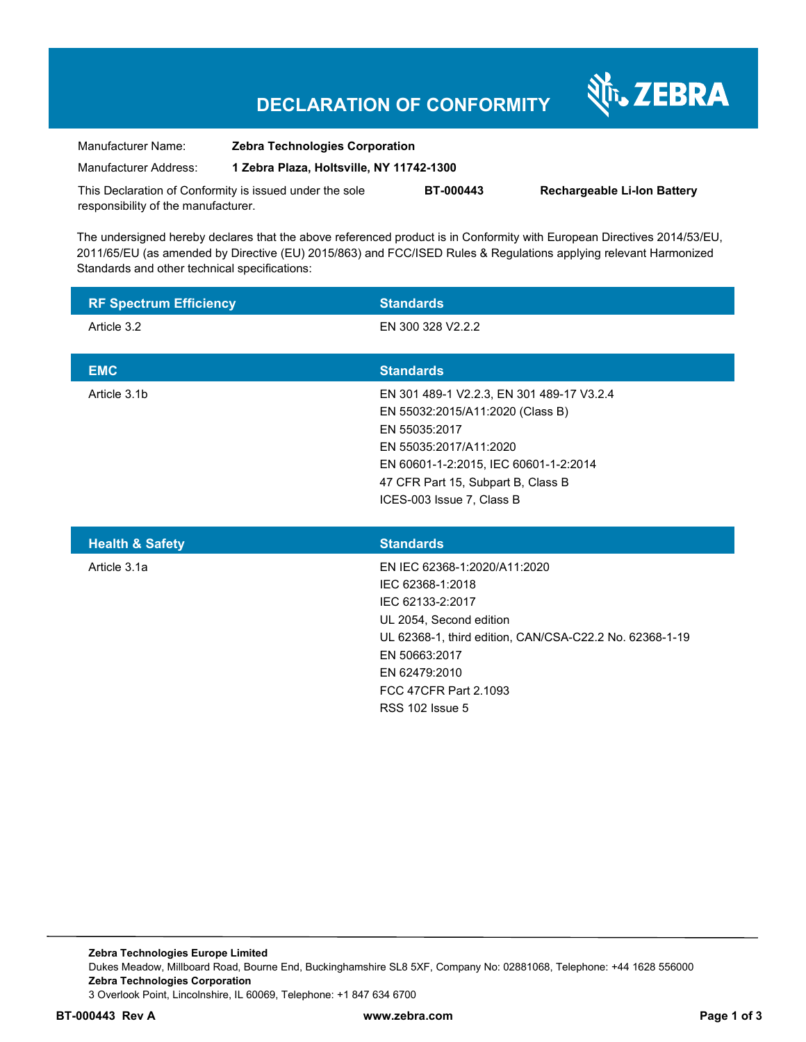# **DECLARATION OF CONFORMITY**

Nr. ZEBRA

| Manufacturer Name:                                      | <b>Zebra Technologies Corporation</b>    |                  |                                    |  |
|---------------------------------------------------------|------------------------------------------|------------------|------------------------------------|--|
| Manufacturer Address:                                   | 1 Zebra Plaza, Holtsville, NY 11742-1300 |                  |                                    |  |
| This Declaration of Conformity is issued under the sole |                                          | <b>BT-000443</b> | <b>Rechargeable Li-Ion Battery</b> |  |
| responsibility of the manufacturer.                     |                                          |                  |                                    |  |

The undersigned hereby declares that the above referenced product is in Conformity with European Directives 2014/53/EU, 2011/65/EU (as amended by Directive (EU) 2015/863) and FCC/ISED Rules & Regulations applying relevant Harmonized Standards and other technical specifications:

| <b>RF Spectrum Efficiency</b> | <b>Standards</b>                                                                                                                                                                                                                     |
|-------------------------------|--------------------------------------------------------------------------------------------------------------------------------------------------------------------------------------------------------------------------------------|
| Article 3.2                   | EN 300 328 V2.2.2                                                                                                                                                                                                                    |
| <b>EMC</b>                    | <b>Standards</b>                                                                                                                                                                                                                     |
| Article 3.1b                  | EN 301 489-1 V2.2.3, EN 301 489-17 V3.2.4<br>EN 55032:2015/A11:2020 (Class B)<br>EN 55035:2017<br>EN 55035:2017/A11:2020<br>EN 60601-1-2:2015, IEC 60601-1-2:2014<br>47 CFR Part 15, Subpart B, Class B<br>ICES-003 Issue 7, Class B |
| <b>Health &amp; Safety</b>    | <b>Standards</b>                                                                                                                                                                                                                     |
| Article 3.1a                  | EN IEC 62368-1:2020/A11:2020<br>IEC 62368-1:2018<br>IEC 62133-2:2017<br>UL 2054, Second edition<br>UL 62368-1, third edition, CAN/CSA-C22.2 No. 62368-1-19<br>EN 50663:2017<br>EN 62479:2010<br>FCC 47CFR Part 2.1093                |

RSS 102 Issue 5

**Zebra Technologies Europe Limited**  Dukes Meadow, Millboard Road, Bourne End, Buckinghamshire SL8 5XF, Company No: 02881068, Telephone: +44 1628 556000 **Zebra Technologies Corporation**  3 Overlook Point, Lincolnshire, IL 60069, Telephone: +1 847 634 6700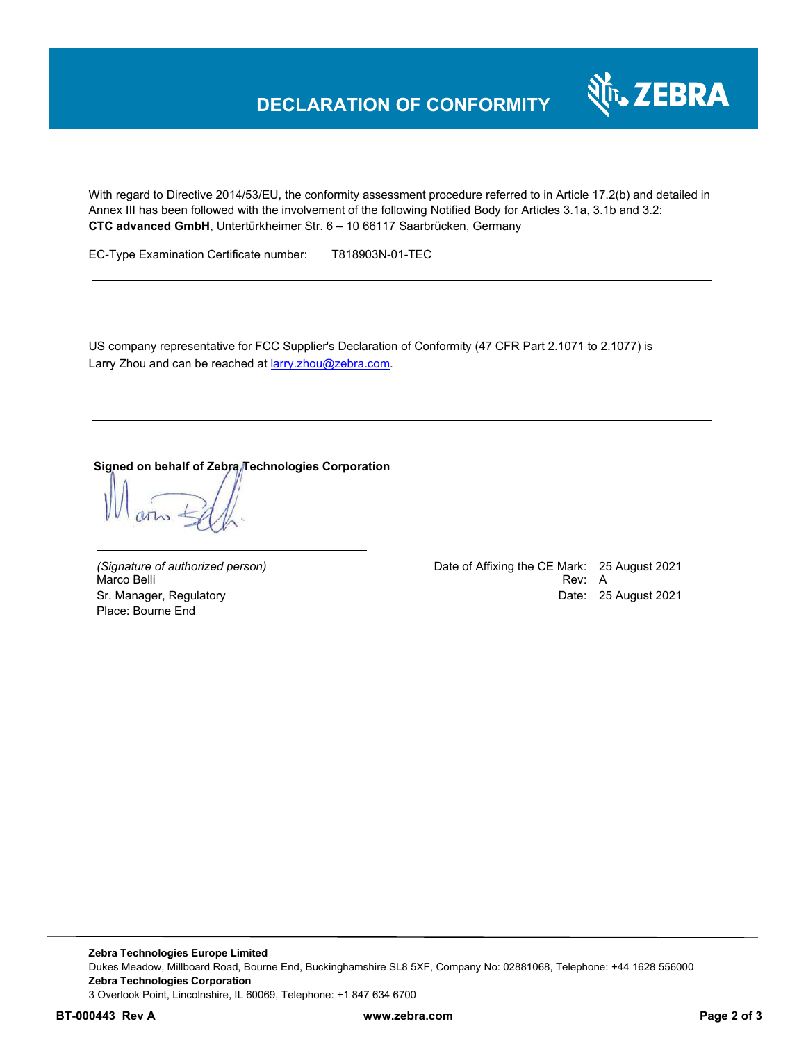## **DECLARATION OF CONFORMITY**



With regard to Directive 2014/53/EU, the conformity assessment procedure referred to in Article 17.2(b) and detailed in Annex III has been followed with the involvement of the following Notified Body for Articles 3.1a, 3.1b and 3.2: **CTC advanced GmbH**, Untertürkheimer Str. 6 – 10 66117 Saarbrücken, Germany

EC-Type Examination Certificate number: T818903N-01-TEC

US company representative for FCC Supplier's Declaration of Conformity (47 CFR Part 2.1071 to 2.1077) is Larry Zhou and can be reached at **larry.zhou@zebra.com.** 

#### **Signed on behalf of Zebra Technologies Corporation**

Place: Bourne End

*(Signature of authorized person)* Date of Affixing the CE Mark: 25 August 2021 Marco Belli Rev: A Sr. Manager, Regulatory **Date: 25 August 2021** 

**Zebra Technologies Europe Limited**  Dukes Meadow, Millboard Road, Bourne End, Buckinghamshire SL8 5XF, Company No: 02881068, Telephone: +44 1628 556000 **Zebra Technologies Corporation**  3 Overlook Point, Lincolnshire, IL 60069, Telephone: +1 847 634 6700